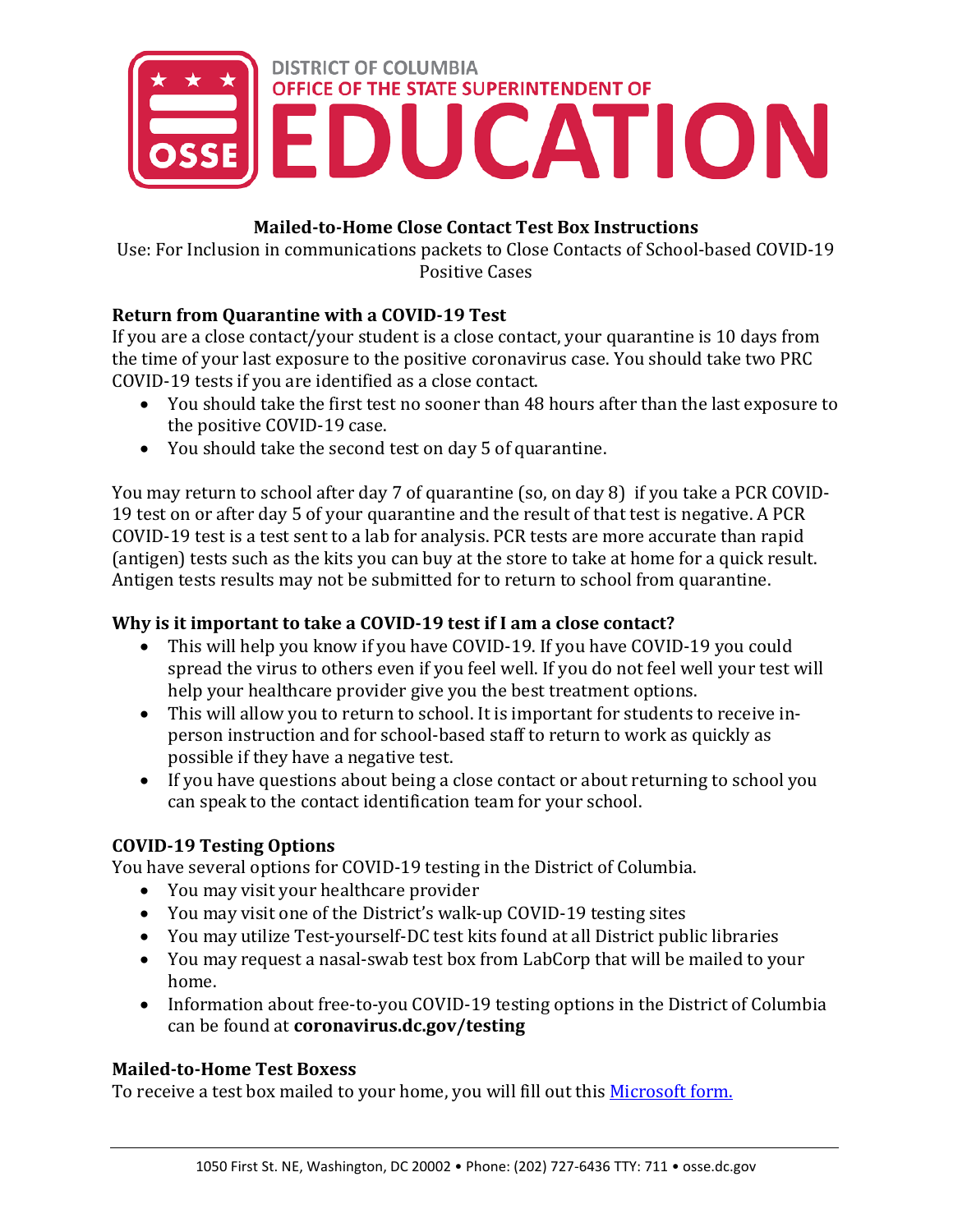

# **Mailed-to-Home Close Contact Test Box Instructions**

Use: For Inclusion in communications packets to Close Contacts of School-based COVID-19 Positive Cases

# **Return from Quarantine with a COVID-19 Test**

If you are a close contact/your student is a close contact, your quarantine is 10 days from the time of your last exposure to the positive coronavirus case. You should take two PRC COVID-19 tests if you are identified as a close contact.

- You should take the first test no sooner than 48 hours after than the last exposure to the positive COVID-19 case.
- You should take the second test on day 5 of quarantine.

You may return to school after day 7 of quarantine (so, on day 8) if you take a PCR COVID-19 test on or after day 5 of your quarantine and the result of that test is negative. A PCR COVID-19 test is a test sent to a lab for analysis. PCR tests are more accurate than rapid (antigen) tests such as the kits you can buy at the store to take at home for a quick result. Antigen tests results may not be submitted for to return to school from quarantine.

# **Why is it important to take a COVID-19 test if I am a close contact?**

- This will help you know if you have COVID-19. If you have COVID-19 you could spread the virus to others even if you feel well. If you do not feel well your test will help your healthcare provider give you the best treatment options.
- This will allow you to return to school. It is important for students to receive inperson instruction and for school-based staff to return to work as quickly as possible if they have a negative test.
- If you have questions about being a close contact or about returning to school you can speak to the contact identification team for your school.

# **COVID-19 Testing Options**

You have several options for COVID-19 testing in the District of Columbia.

- You may visit your healthcare provider
- You may visit one of the District's walk-up COVID-19 testing sites
- You may utilize Test-yourself-DC test kits found at all District public libraries
- You may request a nasal-swab test box from LabCorp that will be mailed to your home.
- Information about free-to-you COVID-19 testing options in the District of Columbia can be found at **coronavirus.dc.gov/testing**

# **Mailed-to-Home Test Boxess**

To receive a test box mailed to your home, you will fill out this [Microsoft form.](https://forms.office.com/g/1UQQWREdja)